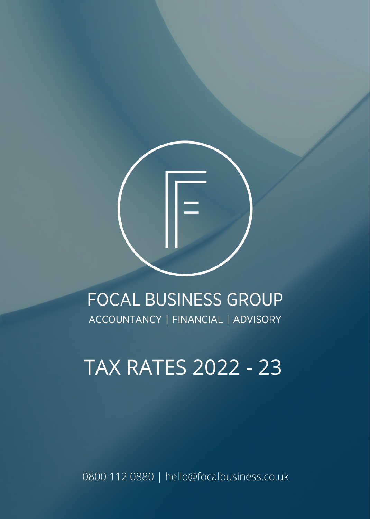

# **FOCAL BUSINESS GROUP** ACCOUNTANCY | FINANCIAL | ADVISORY

# **TAX RATES 2022 - 23**

0800 112 0880 | hello@focalbusiness.co.uk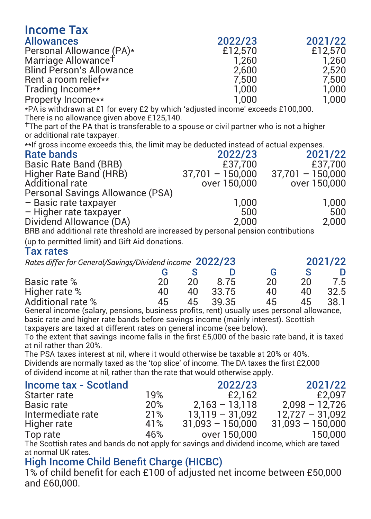| <b>Allowances</b><br>2022/23<br>2021/22<br>Personal Allowance (PA)*<br>£12,570<br>£12,570<br>Marriage Allowance <sup>†</sup><br>1.260<br>1.260<br>Blind Person's Allowance<br>2.600<br>2.520<br>7,500<br>Rent a room relief**<br>7.500<br>Trading Income**<br>1.000<br>1.000<br>1.000<br>1.000<br>Property Income**<br>*PA is withdrawn at £1 for every £2 by which 'adjusted income' exceeds £100,000.<br>There is no allowance given above £125,140.<br><sup>†</sup> The part of the PA that is transferable to a spouse or civil partner who is not a higher<br>or additional rate taxpayer.<br>** If gross income exceeds this, the limit may be deducted instead of actual expenses.<br>2022/23<br><b>Rate bands</b><br>2021/22<br>£37,700<br>£37,700<br>Basic Rate Band (BRB)<br>37,701 - 150,000<br>Higher Rate Band (HRB)<br>$37.701 - 150.000$<br>over 150.000<br>over 150,000<br>Additional rate<br>Personal Savings Allowance (PSA)<br>1.000<br>1.000<br>– Basic rate taxpayer<br>500<br>- Higher rate taxpayer<br>500<br>Dividend Allowance (DA)<br>2,000<br>2,000<br>BRB and additional rate threshold are increased by personal pension contributions<br>(up to permitted limit) and Gift Aid donations.<br><b>Tax rates</b><br>2021/22<br>Rates differ for General/Savings/Dividend income 2022/23 |
|-------------------------------------------------------------------------------------------------------------------------------------------------------------------------------------------------------------------------------------------------------------------------------------------------------------------------------------------------------------------------------------------------------------------------------------------------------------------------------------------------------------------------------------------------------------------------------------------------------------------------------------------------------------------------------------------------------------------------------------------------------------------------------------------------------------------------------------------------------------------------------------------------------------------------------------------------------------------------------------------------------------------------------------------------------------------------------------------------------------------------------------------------------------------------------------------------------------------------------------------------------------------------------------------------------------------|
|                                                                                                                                                                                                                                                                                                                                                                                                                                                                                                                                                                                                                                                                                                                                                                                                                                                                                                                                                                                                                                                                                                                                                                                                                                                                                                                   |
|                                                                                                                                                                                                                                                                                                                                                                                                                                                                                                                                                                                                                                                                                                                                                                                                                                                                                                                                                                                                                                                                                                                                                                                                                                                                                                                   |
|                                                                                                                                                                                                                                                                                                                                                                                                                                                                                                                                                                                                                                                                                                                                                                                                                                                                                                                                                                                                                                                                                                                                                                                                                                                                                                                   |
|                                                                                                                                                                                                                                                                                                                                                                                                                                                                                                                                                                                                                                                                                                                                                                                                                                                                                                                                                                                                                                                                                                                                                                                                                                                                                                                   |
|                                                                                                                                                                                                                                                                                                                                                                                                                                                                                                                                                                                                                                                                                                                                                                                                                                                                                                                                                                                                                                                                                                                                                                                                                                                                                                                   |
|                                                                                                                                                                                                                                                                                                                                                                                                                                                                                                                                                                                                                                                                                                                                                                                                                                                                                                                                                                                                                                                                                                                                                                                                                                                                                                                   |
|                                                                                                                                                                                                                                                                                                                                                                                                                                                                                                                                                                                                                                                                                                                                                                                                                                                                                                                                                                                                                                                                                                                                                                                                                                                                                                                   |
|                                                                                                                                                                                                                                                                                                                                                                                                                                                                                                                                                                                                                                                                                                                                                                                                                                                                                                                                                                                                                                                                                                                                                                                                                                                                                                                   |
|                                                                                                                                                                                                                                                                                                                                                                                                                                                                                                                                                                                                                                                                                                                                                                                                                                                                                                                                                                                                                                                                                                                                                                                                                                                                                                                   |
|                                                                                                                                                                                                                                                                                                                                                                                                                                                                                                                                                                                                                                                                                                                                                                                                                                                                                                                                                                                                                                                                                                                                                                                                                                                                                                                   |
|                                                                                                                                                                                                                                                                                                                                                                                                                                                                                                                                                                                                                                                                                                                                                                                                                                                                                                                                                                                                                                                                                                                                                                                                                                                                                                                   |
|                                                                                                                                                                                                                                                                                                                                                                                                                                                                                                                                                                                                                                                                                                                                                                                                                                                                                                                                                                                                                                                                                                                                                                                                                                                                                                                   |
|                                                                                                                                                                                                                                                                                                                                                                                                                                                                                                                                                                                                                                                                                                                                                                                                                                                                                                                                                                                                                                                                                                                                                                                                                                                                                                                   |
|                                                                                                                                                                                                                                                                                                                                                                                                                                                                                                                                                                                                                                                                                                                                                                                                                                                                                                                                                                                                                                                                                                                                                                                                                                                                                                                   |
|                                                                                                                                                                                                                                                                                                                                                                                                                                                                                                                                                                                                                                                                                                                                                                                                                                                                                                                                                                                                                                                                                                                                                                                                                                                                                                                   |
|                                                                                                                                                                                                                                                                                                                                                                                                                                                                                                                                                                                                                                                                                                                                                                                                                                                                                                                                                                                                                                                                                                                                                                                                                                                                                                                   |
|                                                                                                                                                                                                                                                                                                                                                                                                                                                                                                                                                                                                                                                                                                                                                                                                                                                                                                                                                                                                                                                                                                                                                                                                                                                                                                                   |
|                                                                                                                                                                                                                                                                                                                                                                                                                                                                                                                                                                                                                                                                                                                                                                                                                                                                                                                                                                                                                                                                                                                                                                                                                                                                                                                   |
|                                                                                                                                                                                                                                                                                                                                                                                                                                                                                                                                                                                                                                                                                                                                                                                                                                                                                                                                                                                                                                                                                                                                                                                                                                                                                                                   |
|                                                                                                                                                                                                                                                                                                                                                                                                                                                                                                                                                                                                                                                                                                                                                                                                                                                                                                                                                                                                                                                                                                                                                                                                                                                                                                                   |
|                                                                                                                                                                                                                                                                                                                                                                                                                                                                                                                                                                                                                                                                                                                                                                                                                                                                                                                                                                                                                                                                                                                                                                                                                                                                                                                   |
|                                                                                                                                                                                                                                                                                                                                                                                                                                                                                                                                                                                                                                                                                                                                                                                                                                                                                                                                                                                                                                                                                                                                                                                                                                                                                                                   |
|                                                                                                                                                                                                                                                                                                                                                                                                                                                                                                                                                                                                                                                                                                                                                                                                                                                                                                                                                                                                                                                                                                                                                                                                                                                                                                                   |
| s<br>G<br>s<br>D<br>G<br>D                                                                                                                                                                                                                                                                                                                                                                                                                                                                                                                                                                                                                                                                                                                                                                                                                                                                                                                                                                                                                                                                                                                                                                                                                                                                                        |
| 7.5<br>20<br>20<br>8.75<br>20<br>20<br>Basic rate %                                                                                                                                                                                                                                                                                                                                                                                                                                                                                                                                                                                                                                                                                                                                                                                                                                                                                                                                                                                                                                                                                                                                                                                                                                                               |
| 40<br>40<br>33.75<br>32.5<br>40<br>40<br>Higher rate %                                                                                                                                                                                                                                                                                                                                                                                                                                                                                                                                                                                                                                                                                                                                                                                                                                                                                                                                                                                                                                                                                                                                                                                                                                                            |
| 45<br>39.35<br>45<br>45<br>45<br>38.1<br>Additional rate %                                                                                                                                                                                                                                                                                                                                                                                                                                                                                                                                                                                                                                                                                                                                                                                                                                                                                                                                                                                                                                                                                                                                                                                                                                                        |
| General income (salary, pensions, business profits, rent) usually uses personal allowance,                                                                                                                                                                                                                                                                                                                                                                                                                                                                                                                                                                                                                                                                                                                                                                                                                                                                                                                                                                                                                                                                                                                                                                                                                        |
| basic rate and higher rate bands before savings income (mainly interest). Scottish                                                                                                                                                                                                                                                                                                                                                                                                                                                                                                                                                                                                                                                                                                                                                                                                                                                                                                                                                                                                                                                                                                                                                                                                                                |
| taxpayers are taxed at different rates on general income (see below).                                                                                                                                                                                                                                                                                                                                                                                                                                                                                                                                                                                                                                                                                                                                                                                                                                                                                                                                                                                                                                                                                                                                                                                                                                             |
| To the extent that savings income falls in the first £5,000 of the basic rate band, it is taxed                                                                                                                                                                                                                                                                                                                                                                                                                                                                                                                                                                                                                                                                                                                                                                                                                                                                                                                                                                                                                                                                                                                                                                                                                   |
| at nil rather than 20%.                                                                                                                                                                                                                                                                                                                                                                                                                                                                                                                                                                                                                                                                                                                                                                                                                                                                                                                                                                                                                                                                                                                                                                                                                                                                                           |
| The PSA taxes interest at nil, where it would otherwise be taxable at 20% or 40%.                                                                                                                                                                                                                                                                                                                                                                                                                                                                                                                                                                                                                                                                                                                                                                                                                                                                                                                                                                                                                                                                                                                                                                                                                                 |
| Dividends are normally taxed as the 'top slice' of income. The DA taxes the first £2,000                                                                                                                                                                                                                                                                                                                                                                                                                                                                                                                                                                                                                                                                                                                                                                                                                                                                                                                                                                                                                                                                                                                                                                                                                          |
| of dividend income at nil, rather than the rate that would otherwise apply.                                                                                                                                                                                                                                                                                                                                                                                                                                                                                                                                                                                                                                                                                                                                                                                                                                                                                                                                                                                                                                                                                                                                                                                                                                       |
| Income tax - Scotland<br>2022/23<br>2021/22                                                                                                                                                                                                                                                                                                                                                                                                                                                                                                                                                                                                                                                                                                                                                                                                                                                                                                                                                                                                                                                                                                                                                                                                                                                                       |
| 19%<br>£2.162<br>£2,097<br>Starter rate                                                                                                                                                                                                                                                                                                                                                                                                                                                                                                                                                                                                                                                                                                                                                                                                                                                                                                                                                                                                                                                                                                                                                                                                                                                                           |
| 20%<br>$2.163 - 13.118$<br>$2.098 - 12.726$<br>Basic rate                                                                                                                                                                                                                                                                                                                                                                                                                                                                                                                                                                                                                                                                                                                                                                                                                                                                                                                                                                                                                                                                                                                                                                                                                                                         |
| $13,119 - 31,092$<br>21%<br>$12,727 - 31,092$<br>Intermediate rate                                                                                                                                                                                                                                                                                                                                                                                                                                                                                                                                                                                                                                                                                                                                                                                                                                                                                                                                                                                                                                                                                                                                                                                                                                                |
| 41%<br>$31,093 - 150,000$<br>$31,093 - 150,000$<br>Higher rate                                                                                                                                                                                                                                                                                                                                                                                                                                                                                                                                                                                                                                                                                                                                                                                                                                                                                                                                                                                                                                                                                                                                                                                                                                                    |
| 46%<br>over 150,000<br>Top rate<br>150,000                                                                                                                                                                                                                                                                                                                                                                                                                                                                                                                                                                                                                                                                                                                                                                                                                                                                                                                                                                                                                                                                                                                                                                                                                                                                        |
| The Scottish rates and bands do not apply for savings and dividend income, which are taxed                                                                                                                                                                                                                                                                                                                                                                                                                                                                                                                                                                                                                                                                                                                                                                                                                                                                                                                                                                                                                                                                                                                                                                                                                        |

The Scottish rates and bands do not apply for savings and dividend income, which are taxed<br>at normal UK rates.<br>High Income Child Benefit Charge (HICBC)<br>1% of child benefit for each £100 of adjusted net income between £50,0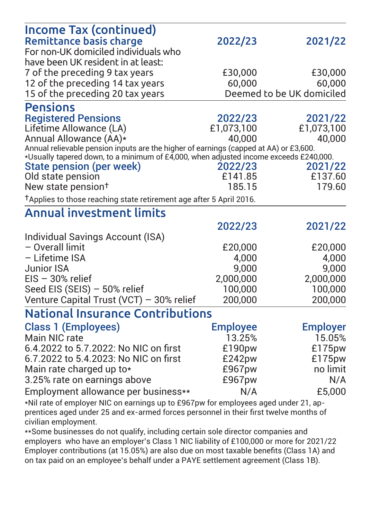| Income Tax (continued)                                                                                            |                 |                           |  |  |  |
|-------------------------------------------------------------------------------------------------------------------|-----------------|---------------------------|--|--|--|
| <b>Remittance basis charge</b>                                                                                    | 2022/23         | 2021/22                   |  |  |  |
| For non-UK domiciled individuals who                                                                              |                 |                           |  |  |  |
| have been UK resident in at least:                                                                                |                 |                           |  |  |  |
| 7 of the preceding 9 tax years                                                                                    | £30,000         | £30,000                   |  |  |  |
| 12 of the preceding 14 tax vears                                                                                  | 60,000          | 60.000                    |  |  |  |
| 15 of the preceding 20 tax years                                                                                  |                 | Deemed to be UK domiciled |  |  |  |
| <b>Pensions</b>                                                                                                   |                 |                           |  |  |  |
| <b>Registered Pensions</b>                                                                                        | 2022/23         | 2021/22                   |  |  |  |
| Lifetime Allowance (LA)                                                                                           | £1.073.100      | £1,073,100                |  |  |  |
| Annual Allowance (AA)*                                                                                            | 40.000          | 40.000                    |  |  |  |
| Annual relievable pension inputs are the higher of earnings (capped at AA) or £3,600.                             |                 |                           |  |  |  |
| *Usually tapered down, to a minimum of £4,000, when adjusted income exceeds £240,000.<br>State pension (per week) | 2022/23         | 2021/22                   |  |  |  |
| Old state pension                                                                                                 | £141.85         | £137.60                   |  |  |  |
| New state pension <sup>+</sup>                                                                                    | 185.15          | 179.60                    |  |  |  |
|                                                                                                                   |                 |                           |  |  |  |
| <sup>†</sup> Applies to those reaching state retirement age after 5 April 2016.                                   |                 |                           |  |  |  |
| <b>Annual investment limits</b>                                                                                   |                 |                           |  |  |  |
|                                                                                                                   | 2022/23         | 2021/22                   |  |  |  |
| Individual Savings Account (ISA)                                                                                  |                 |                           |  |  |  |
| - Overall limit                                                                                                   | £20,000         | £20,000                   |  |  |  |
| - Lifetime ISA                                                                                                    | 4.000           | 4.000                     |  |  |  |
| Junior ISA                                                                                                        | 9.000           | 9.000                     |  |  |  |
| $EIS - 30%$ relief                                                                                                | 2,000,000       | 2.000.000                 |  |  |  |
| Seed EIS (SEIS) - 50% relief                                                                                      | 100.000         | 100,000                   |  |  |  |
| Venture Capital Trust (VCT) - 30% relief                                                                          | 200.000         | 200.000                   |  |  |  |
| National Insurance Contributions                                                                                  |                 |                           |  |  |  |
| Class 1 (Employees)                                                                                               | <b>Employee</b> | <b>Employer</b>           |  |  |  |
| Main NIC rate                                                                                                     | 13.25%          | 15.05%                    |  |  |  |
| 6.4.2022 to 5.7.2022: No NIC on first                                                                             | £190pw          | £175pw                    |  |  |  |
| 6.7.2022 to 5.4.2023: No NIC on first                                                                             | £242pw          | £175pw                    |  |  |  |
| Main rate charged up to*                                                                                          | £967pw          | no limit                  |  |  |  |
| 3.25% rate on earnings above                                                                                      | £967pw          | N/A                       |  |  |  |
| Employment allowance per business**                                                                               | N/A             | £5,000                    |  |  |  |
| *Nil rate of employer NIC on earnings up to £967pw for employees aged under 21, ap-                               |                 |                           |  |  |  |
| prentices aged under 25 and ex-armed forces personnel in their first twelve months of                             |                 |                           |  |  |  |

civilian employment.

\*\*Some businesses do not qualify, including certain sole director companies and employers who have an employer's Class 1 NIC liability of £100,000 or more for 2021/22 Employers who have an employer of stage if the hability of Everyped of more for Boby. on tax paid on an employee's behalf under a PAYE settlement agreement (Class 1B).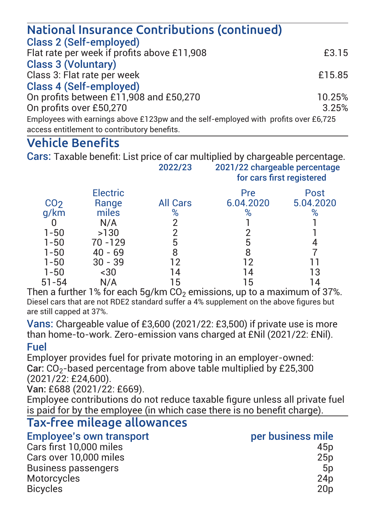| National Insurance Contributions (continued)                                                                                        |        |
|-------------------------------------------------------------------------------------------------------------------------------------|--------|
| Class 2 (Self-employed)                                                                                                             |        |
| Flat rate per week if profits above £11,908                                                                                         | £3.15  |
| <b>Class 3 (Voluntary)</b>                                                                                                          |        |
| Class 3: Flat rate per week                                                                                                         | £15.85 |
| Class 4 (Self-employed)                                                                                                             |        |
| On profits between £11,908 and £50,270                                                                                              | 10.25% |
| On profits over £50,270                                                                                                             | 3.25%  |
| Employees with earnings above £123pw and the self-employed with profits over £6,725<br>access entitlement to contributory benefits. |        |

## Vehicle Benefits

Cars: Taxable benefit: List price of car multiplied by chargeable perceptage

|                 |                   | 2022/23         |                  | 2021/22 chargeable percentage<br>for cars first registered |  |  |  |
|-----------------|-------------------|-----------------|------------------|------------------------------------------------------------|--|--|--|
| CO <sub>2</sub> | Electric<br>Range | <b>All Cars</b> | Pre<br>6.04.2020 | Post<br>5.04.2020                                          |  |  |  |
| q/km            | miles             | %               |                  |                                                            |  |  |  |
|                 | N/A               |                 |                  |                                                            |  |  |  |
| $1 - 50$        | >130              |                 |                  |                                                            |  |  |  |
| $1 - 50$        | 70 - 129          |                 | 5                |                                                            |  |  |  |
| $1 - 50$        | $40 - 69$         |                 | 8                |                                                            |  |  |  |
| $1 - 50$        | $30 - 39$         | 12              | 12               |                                                            |  |  |  |
| $1 - 50$        | $-30$             | 14              | 14               | 13                                                         |  |  |  |
| $51 - 54$       | N/A               | 15              | 15               |                                                            |  |  |  |
|                 |                   |                 |                  |                                                            |  |  |  |

Then a further 1% for each  $5a/km$  CO<sub>2</sub> emissions, up to a maximum of 37%. Diesel cars that are not RDE2 standard suffer a 4% supplement on the above figures but are still capped at 37%.

Vans: Chargeable value of £3,600 (2021/22: £3,500) if private use is more than home-to-work. Zero-emission vans charged at £Nil (2021/22: £Nil).

#### Eugh

Employer provides fuel for private motoring in an employer-owned: Car: CO2-based percentage from above table multiplied by £25,300  $(2021/22.524600)$ 

 $Var: F688 (2021/22: F669)$ 

Employee contributions do not reduce taxable figure unless all private fuel Employee commissions as not readed taking highle directs an private

#### Tax-free mileage allowances Employee's own transport the control of the per-business mile Cars first 10,000 miles Cars over 10,000 miles

| Cars first 10.000 miles | 45D             |
|-------------------------|-----------------|
| Cars over 10.000 miles  | 25p             |
| Business passengers     | 5p              |
| Motorcycles             | 24 <sub>D</sub> |
| <b>Bicvcles</b>         | 20 <sub>D</sub> |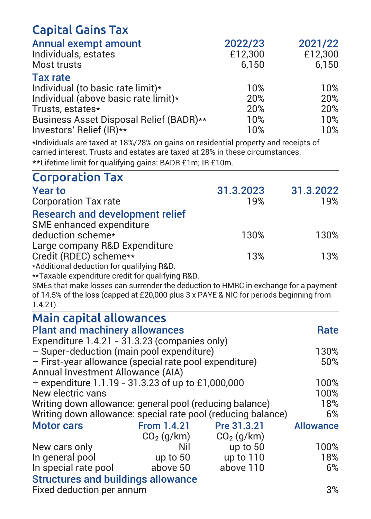| <b>Capital Gains Tax</b>                                                               |              |              |                  |
|----------------------------------------------------------------------------------------|--------------|--------------|------------------|
| Annual exempt amount                                                                   |              | 2022/23      | 2021/22          |
| Individuals, estates                                                                   |              | £12,300      | £12,300          |
| Most trusts                                                                            |              | 6,150        | 6,150            |
| <b>Tax rate</b>                                                                        |              |              |                  |
| Individual (to basic rate limit)*                                                      |              | 10%          | 10%              |
| Individual (above basic rate limit)*                                                   |              | 20%          | 20%              |
| Trusts, estates*                                                                       |              | 20%          | 20%              |
| Business Asset Disposal Relief (BADR)**                                                |              | 10%          | 10%              |
| Investors' Relief (IR)**                                                               |              | 10%          | 10%              |
| *Individuals are taxed at 18%/28% on gains on residential property and receipts of     |              |              |                  |
| carried interest. Trusts and estates are taxed at 28% in these circumstances.          |              |              |                  |
| **Lifetime limit for qualifying gains: BADR £1m; IR £10m.                              |              |              |                  |
| <b>Corporation Tax</b>                                                                 |              |              |                  |
| <b>Year to</b>                                                                         |              | 31.3.2023    | 31.3.2022        |
| <b>Corporation Tax rate</b>                                                            |              | 19%          | 19%              |
| <b>Research and development relief</b>                                                 |              |              |                  |
| SME enhanced expenditure                                                               |              |              |                  |
| deduction scheme*                                                                      |              | 130%         | 130%             |
| Large company R&D Expenditure                                                          |              |              |                  |
| Credit (RDEC) scheme**                                                                 |              | 13%          | 13%              |
| *Additional deduction for qualifying R&D.                                              |              |              |                  |
| **Taxable expenditure credit for qualifying R&D.                                       |              |              |                  |
| SMEs that make losses can surrender the deduction to HMRC in exchange for a payment    |              |              |                  |
| of 14.5% of the loss (capped at £20,000 plus 3 x PAYE & NIC for periods beginning from |              |              |                  |
| $1.4.21$ ).                                                                            |              |              |                  |
| Main capital allowances                                                                |              |              |                  |
| <b>Plant and machinery allowances</b>                                                  |              |              | Rate             |
| Expenditure 1.4.21 - 31.3.23 (companies only)                                          |              |              |                  |
| - Super-deduction (main pool expenditure)                                              |              |              | 130%             |
| - First-year allowance (special rate pool expenditure)                                 |              |              | 50%              |
| Annual Investment Allowance (AIA)                                                      |              |              |                  |
| - expenditure $1.1.19 - 31.3.23$ of up to £1,000,000                                   |              |              | 100%             |
| New electric vans                                                                      |              |              | 100%             |
| Writing down allowance: general pool (reducing balance)                                |              |              | 18%              |
| Writing down allowance: special rate pool (reducing balance)                           |              |              | 6%               |
| <b>Motor cars</b>                                                                      | From 1.4.21  | Pre 31.3.21  | <b>Allowance</b> |
|                                                                                        | $CO2$ (q/km) | $CO2$ (g/km) |                  |
| New cars only                                                                          | Nil          | up to 50     | 100%             |
| In general pool                                                                        | up to 50     | up to 110    | 18%              |
| In special rate pool                                                                   | above 50     | above 110    | 6%               |
| <b>Structures and buildings allowance</b>                                              |              |              |                  |
| Fixed deduction per annum                                                              |              |              | 3%               |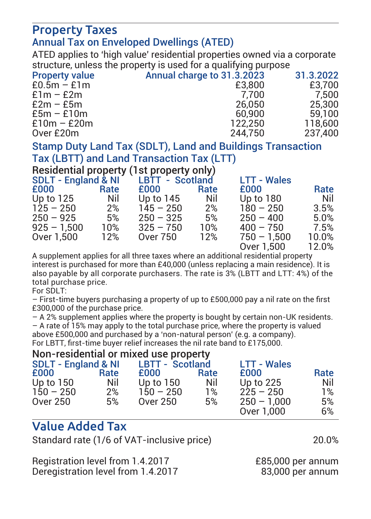### Property Taxes Annual Tax on Enveloped Dwellings (ATED)

ATED applies to 'high value' residential properties owned via a corporate structure, unless the property is used for a qualifying purpose

| Annual charge to 31.3.2023 | 31.3.2022 |
|----------------------------|-----------|
| £3,800                     | £3.700    |
| 7.700                      | 7.500     |
| 26.050                     | 25,300    |
| 60,900                     | 59.100    |
| 122.250                    | 118,600   |
| 244.750                    | 237.400   |
|                            |           |

Stamp Duty Land Tax (SDLT). Land and Buildings Transaction Tax (LBTT) and Land Transaction Tax (LTT)

Besidential property (1st property only)

| SDLT - England & NI |      | LBTT - Scotland |      | <b>LTT - Wales</b> |       |
|---------------------|------|-----------------|------|--------------------|-------|
| £000                | Rate | £000            | Rate | £000               | Rate  |
| Up to 125           | Nil  | Up to 145       | Nil  | Up to 180          | Nil   |
| $125 - 250$         | 2%   | $145 - 250$     | 2%   | $180 - 250$        | 3.5%  |
| $250 - 925$         | 5%   | $250 - 325$     | 5%   | $250 - 400$        | 5.0%  |
| $925 - 1.500$       | 10%  | $325 - 750$     | 10%  | $400 - 750$        | 7.5%  |
| Over 1.500          | 12%  | Over 750        | 12%  | $750 - 1.500$      | 10.0% |
|                     |      |                 |      | Over 1.500         | 12.0% |

 Over 1,500 12.0% A supplement applies for all three taxes where an additional residential property interest is purchased for more than £40,000 (unless replacing a main residence). It is also payable by all corporate purchasers. The rate is 3% (LBTT and LTT: 4%) of the total purchase price.

For SDLT:

 $-$  First-time buvers purchasing a property of up to £500,000 pay a pil rate on the first £300,000 of the purchase price.

– A 2% supplement applies where the property is bought by certain non-UK residents. – A rate of 15% may apply to the total purchase price, where the property is valued

above £500,000 and purchased by a 'non-natural person' (e.g. a company).

For LBTT, first-time buyer relief increases the nil rate band to £175,000.

Non-residential or mived use property

| <b>SDLT - England &amp; NI</b> |      | <b>LBTT - Scotland</b> |      | <b>LTT - Wales</b> |      |
|--------------------------------|------|------------------------|------|--------------------|------|
| £000                           | Rate | £000                   | Rate | £000               | Rate |
| Up to 150                      | Nil  | Up to 150              | Nil  | Up to 225          | Nil  |
| $150 - 250$                    | 2%   | $150 - 250$            | 1%   | $225 - 250$        | 1%   |
| Over 250                       | 5%   | Over 250               | 5%   | $250 - 1.000$      | 5%   |
|                                |      |                        |      | Over 1.000         | 6%   |

# Value Added Tax

Standard rate (1/6 of VAT-inclusive price) 20.0%

Registration level from 1.4.2017 £85,000 per annum Deregistration level from 1.4.2017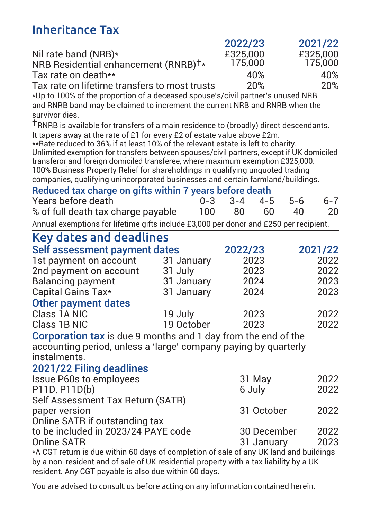# Inheritance Tax

|                                                                                                                                                                                 |            |                    | 2022/23  |             |     | 2021/22      |
|---------------------------------------------------------------------------------------------------------------------------------------------------------------------------------|------------|--------------------|----------|-------------|-----|--------------|
| Nil rate band (NRB)*                                                                                                                                                            |            |                    | £325,000 |             |     | £325,000     |
| NRB Residential enhancement (RNRB) <sup>†*</sup>                                                                                                                                |            |                    | 175.000  |             |     | 175,000      |
| Tax rate on death**                                                                                                                                                             |            |                    | 40%      |             |     | 40%          |
| Tax rate on lifetime transfers to most trusts                                                                                                                                   |            |                    | 20%      |             |     | 20%          |
| *Up to 100% of the proportion of a deceased spouse's/civil partner's unused NRB                                                                                                 |            |                    |          |             |     |              |
| and RNRB band may be claimed to increment the current NRB and RNRB when the                                                                                                     |            |                    |          |             |     |              |
| survivor dies.                                                                                                                                                                  |            |                    |          |             |     |              |
| TRNRB is available for transfers of a main residence to (broadly) direct descendants.<br>It tapers away at the rate of £1 for every £2 of estate value above £2m.               |            |                    |          |             |     |              |
| **Rate reduced to 36% if at least 10% of the relevant estate is left to charity.                                                                                                |            |                    |          |             |     |              |
| Unlimited exemption for transfers between spouses/civil partners, except if UK domiciled                                                                                        |            |                    |          |             |     |              |
| transferor and foreign domiciled transferee, where maximum exemption £325,000.                                                                                                  |            |                    |          |             |     |              |
| 100% Business Property Relief for shareholdings in qualifying unquoted trading                                                                                                  |            |                    |          |             |     |              |
| companies, qualifying unincorporated businesses and certain farmland/buildings.                                                                                                 |            |                    |          |             |     |              |
| Reduced tax charge on gifts within 7 years before death<br>Years before death                                                                                                   |            | $0 - 3$<br>$3 - 4$ |          | $4 - 5$     | 5-6 | $6 - 7$      |
| % of full death tax charge payable                                                                                                                                              |            | 100                | 80       | 60          | 40  | 20           |
|                                                                                                                                                                                 |            |                    |          |             |     |              |
| Annual exemptions for lifetime gifts include £3,000 per donor and £250 per recipient.                                                                                           |            |                    |          |             |     |              |
| Key dates and deadlines                                                                                                                                                         |            |                    |          |             |     |              |
| Self assessment payment dates                                                                                                                                                   |            |                    | 2022/23  |             |     | 2021/22      |
| 1st payment on account                                                                                                                                                          | 31 January |                    | 2023     |             |     | 2022         |
| 2nd payment on account                                                                                                                                                          | 31 July    |                    | 2023     |             |     | 2022         |
| <b>Balancing payment</b>                                                                                                                                                        | 31 January |                    | 2024     |             |     | 2023         |
| Capital Gains Tax*                                                                                                                                                              | 31 January |                    | 2024     |             |     | 2023         |
| Other payment dates                                                                                                                                                             |            |                    |          |             |     |              |
| Class 1A NIC                                                                                                                                                                    | 19 July    |                    | 2023     |             |     | 2022         |
| Class 1B NIC                                                                                                                                                                    | 19 October |                    | 2023     |             |     | 2022         |
| Corporation tax is due 9 months and 1 day from the end of the                                                                                                                   |            |                    |          |             |     |              |
| accounting period, unless a 'large' company paying by quarterly                                                                                                                 |            |                    |          |             |     |              |
| instalments.                                                                                                                                                                    |            |                    |          |             |     |              |
| 2021/22 Filing deadlines                                                                                                                                                        |            |                    |          |             |     |              |
| <b>Issue P60s to employees</b>                                                                                                                                                  |            |                    | 31 May   |             |     | 2022         |
| P11D, P11D(b)                                                                                                                                                                   |            |                    | 6 July   |             |     | 2022         |
| Self Assessment Tax Return (SATR)                                                                                                                                               |            |                    |          |             |     |              |
| paper version                                                                                                                                                                   |            |                    |          | 31 October  |     | 2022         |
| Online SATR if outstanding tax<br>to be included in 2023/24 PAYE code                                                                                                           |            |                    |          |             |     |              |
| Online SATR                                                                                                                                                                     |            |                    |          | 30 December |     | 2022<br>2023 |
|                                                                                                                                                                                 |            |                    |          | 31 January  |     |              |
| *A CGT return is due within 60 days of completion of sale of any UK land and buildings<br>by a non-resident and of sale of UK residential property with a tax liability by a UK |            |                    |          |             |     |              |
| resident. Any CGT payable is also due within 60 days.                                                                                                                           |            |                    |          |             |     |              |

You are advised to consult us before acting on any information contained herein.